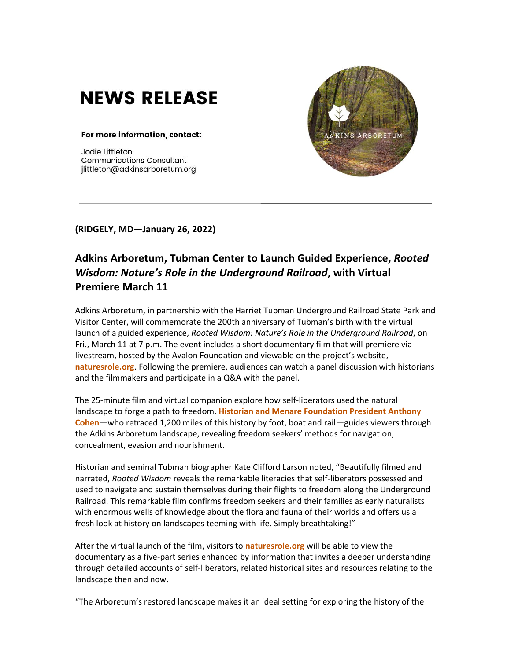## **NEWS RELEASE**

## For more information, contact:

Jodie Littleton **Communications Consultant** jlittleton@adkinsarboretum.org



**(RIDGELY, MD—January 26, 2022)**

## **Adkins Arboretum, Tubman Center to Launch Guided Experience,** *Rooted Wisdom: Nature's Role in the Underground Railroad***, with Virtual Premiere March 11**

Adkins Arboretum, in partnership with the Harriet Tubman Underground Railroad State Park and Visitor Center, will commemorate the 200th anniversary of Tubman's birth with the virtual launch of a guided experience, *Rooted Wisdom: Nature's Role in the Underground Railroad*, on Fri., March 11 at 7 p.m. The event includes a short documentary film that will premiere via livestream, hosted by the Avalon Foundation and viewable on the project's website, **[naturesrole.org](http://www.naturesrole.org/)**. Following the premiere, audiences can watch a panel discussion with historians and the filmmakers and participate in a Q&A with the panel.

The 25-minute film and virtual companion explore how self-liberators used the natural landscape to forge a path to freedom. **Historian [and Menare Foundation President Anthony](https://www.adkinsarboretum.org/file_download/inline/4ae2cbd5-a0e9-48f5-a634-50db10021b07)  [Cohen](https://www.adkinsarboretum.org/file_download/inline/4ae2cbd5-a0e9-48f5-a634-50db10021b07)**—who retraced 1,200 miles of this history by foot, boat and rail—guides viewers through the Adkins Arboretum landscape, revealing freedom seekers' methods for navigation, concealment, evasion and nourishment.

Historian and seminal Tubman biographer Kate Clifford Larson noted, "Beautifully filmed and narrated, *Rooted Wisdom* reveals the remarkable literacies that self-liberators possessed and used to navigate and sustain themselves during their flights to freedom along the Underground Railroad. This remarkable film confirms freedom seekers and their families as early naturalists with enormous wells of knowledge about the flora and fauna of their worlds and offers us a fresh look at history on landscapes teeming with life. Simply breathtaking!"

After the virtual launch of the film, visitors to **[naturesrole.org](https://www.naturesrole.org/)** will be able to view the documentary as a five-part series enhanced by information that invites a deeper understanding through detailed accounts of self-liberators, related historical sites and resources relating to the landscape then and now.

"The Arboretum's restored landscape makes it an ideal setting for exploring the history of the